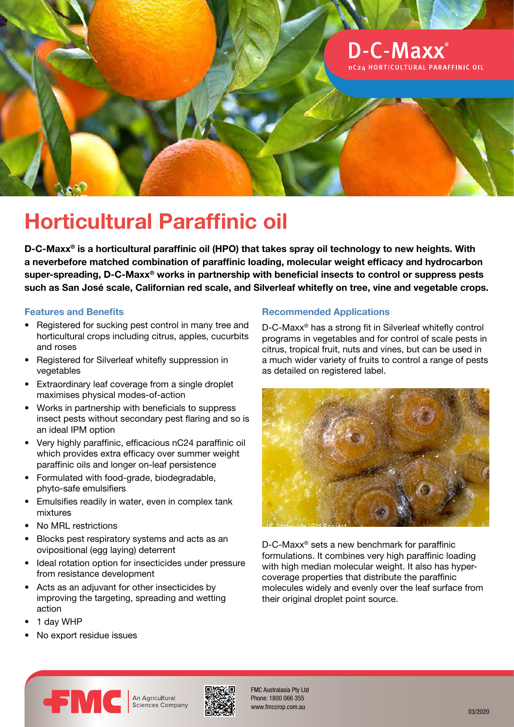

# **Horticultural Paraffinic oil**

**D-C-Maxx® is a horticultural paraffinic oil (HPO) that takes spray oil technology to new heights. With a neverbefore matched combination of paraffinic loading, molecular weight efficacy and hydrocarbon super-spreading, D-C-Maxx® works in partnership with beneficial insects to control or suppress pests such as San José scale, Californian red scale, and Silverleaf whitefly on tree, vine and vegetable crops.**

## **Features and Benefits**

- Registered for sucking pest control in many tree and horticultural crops including citrus, apples, cucurbits and roses
- Registered for Silverleaf whitefly suppression in vegetables
- Extraordinary leaf coverage from a single droplet maximises physical modes-of-action
- Works in partnership with beneficials to suppress insect pests without secondary pest flaring and so is an ideal IPM option
- Very highly paraffinic, efficacious nC24 paraffinic oil which provides extra efficacy over summer weight paraffinic oils and longer on-leaf persistence
- Formulated with food-grade, biodegradable, phyto-safe emulsifiers
- Emulsifies readily in water, even in complex tank mixtures
- No MRL restrictions
- Blocks pest respiratory systems and acts as an ovipositional (egg laying) deterrent
- Ideal rotation option for insecticides under pressure from resistance development
- Acts as an adjuvant for other insecticides by improving the targeting, spreading and wetting action
- 1 day WHP
- No export residue issues

# **Recommended Applications**

D-C-Maxx® has a strong fit in Silverleaf whitefly control programs in vegetables and for control of scale pests in citrus, tropical fruit, nuts and vines, but can be used in a much wider variety of fruits to control a range of pests as detailed on registered label.



D-C-Maxx® sets a new benchmark for paraffinic formulations. It combines very high paraffinic loading with high median molecular weight. It also has hypercoverage properties that distribute the paraffinic molecules widely and evenly over the leaf surface from their original droplet point source.



An Agricultural **Sciences Company** 



FMC Australasia Pty Ltd Phone: 1800 066 355 www.fmccrop.com.au 03/2020